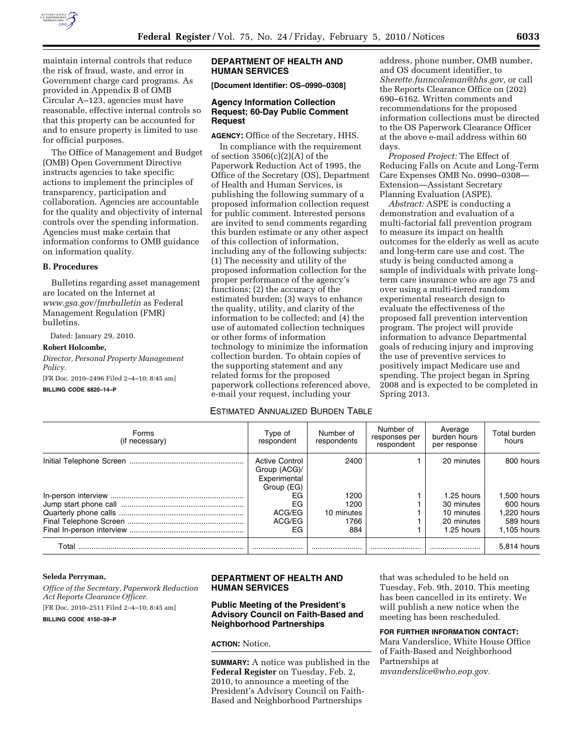

maintain internal controls that reduce the risk of fraud, waste, and error in Government charge card programs. As provided in Appendix B of OMB Circular A–123, agencies must have reasonable, effective internal controls so that this property can be accounted for and to ensure property is limited to use for official purposes.

The Office of Management and Budget (OMB) Open Government Directive instructs agencies to take specific actions to implement the principles of transparency, participation and collaboration. Agencies are accountable for the quality and objectivity of internal controls over the spending information. Agencies must make certain that information conforms to OMB guidance on information quality.

#### **B. Procedures**

Bulletins regarding asset management are located on the Internet at *www.gsa.gov/fmrbulletin* as Federal Management Regulation (FMR) bulletins.

Dated: January 29, 2010.

#### **Robert Holcombe,**

*Director, Personal Property Management Policy.* 

[FR Doc. 2010–2496 Filed 2–4–10; 8:45 am]

#### **BILLING CODE 6820–14–P**

## **DEPARTMENT OF HEALTH AND HUMAN SERVICES**

**[Document Identifier: OS–0990–0308]** 

## **Agency Information Collection Request; 60-Day Public Comment Request**

**AGENCY:** Office of the Secretary, HHS.

In compliance with the requirement of section  $3506(c)(2)(A)$  of the Paperwork Reduction Act of 1995, the Office of the Secretary (OS), Department of Health and Human Services, is publishing the following summary of a proposed information collection request for public comment. Interested persons are invited to send comments regarding this burden estimate or any other aspect of this collection of information, including any of the following subjects: (1) The necessity and utility of the proposed information collection for the proper performance of the agency's functions; (2) the accuracy of the estimated burden; (3) ways to enhance the quality, utility, and clarity of the information to be collected; and (4) the use of automated collection techniques or other forms of information technology to minimize the information collection burden. To obtain copies of the supporting statement and any related forms for the proposed paperwork collections referenced above, e-mail your request, including your

address, phone number, OMB number, and OS document identifier, to *Sherette.funncoleman@hhs.gov,* or call the Reports Clearance Office on (202) 690–6162. Written comments and recommendations for the proposed information collections must be directed to the OS Paperwork Clearance Officer at the above e-mail address within 60 days.

*Proposed Project:* The Effect of Reducing Falls on Acute and Long-Term Care Expenses OMB No. 0990–0308— Extension—Assistant Secretary Planning Evaluation (ASPE).

*Abstract:* ASPE is conducting a demonstration and evaluation of a multi-factorial fall prevention program to measure its impact on health outcomes for the elderly as well as acute and long-term care use and cost. The study is being conducted among a sample of individuals with private longterm care insurance who are age 75 and over using a multi-tiered random experimental research design to evaluate the effectiveness of the proposed fall prevention intervention program. The project will provide information to advance Departmental goals of reducing injury and improving the use of preventive services to positively impact Medicare use and spending. The project began in Spring 2008 and is expected to be completed in Spring 2013.

# ESTIMATED ANNUALIZED BURDEN TABLE

| Forms<br>(if necessary) | Type of<br>respondent                                               | Number of<br>respondents | Number of<br>responses per<br>respondent | Average<br>burden hours<br>per response | Total burden<br>hours |
|-------------------------|---------------------------------------------------------------------|--------------------------|------------------------------------------|-----------------------------------------|-----------------------|
|                         | <b>Active Control</b><br>Group (ACG)/<br>Experimental<br>Group (EG) | 2400                     |                                          | 20 minutes                              | 800 hours             |
|                         | EG                                                                  | 1200                     |                                          | 1.25 hours                              | 1.500 hours           |
|                         | EG                                                                  | 1200                     |                                          | 30 minutes                              | 600 hours             |
|                         | ACG/EG                                                              | 10 minutes               |                                          | 10 minutes                              | 1.220 hours           |
|                         | ACG/EG                                                              | 1766                     |                                          | 20 minutes                              | 589 hours             |
|                         | EG.                                                                 | 884                      |                                          | 1.25 hours                              | $1.105$ hours         |
| Total                   |                                                                     |                          |                                          |                                         | 5.814 hours           |

#### **Seleda Perryman,**

*Office of the Secretary, Paperwork Reduction Act Reports Clearance Officer.*  [FR Doc. 2010–2511 Filed 2–4–10; 8:45 am] **BILLING CODE 4150–39–P** 

## **DEPARTMENT OF HEALTH AND HUMAN SERVICES**

#### **Public Meeting of the President's Advisory Council on Faith-Based and Neighborhood Partnerships**

## **ACTION:** Notice.

**SUMMARY:** A notice was published in the **Federal Register** on Tuesday, Feb. 2, 2010, to announce a meeting of the President's Advisory Council on Faith-Based and Neighborhood Partnerships

that was scheduled to be held on Tuesday, Feb. 9th, 2010. This meeting has been cancelled in its entirety. We will publish a new notice when the meeting has been rescheduled.

**FOR FURTHER INFORMATION CONTACT:**  Mara Vanderslice, White House Office of Faith-Based and Neighborhood Partnerships at *mvanderslice@who.eop.gov.*